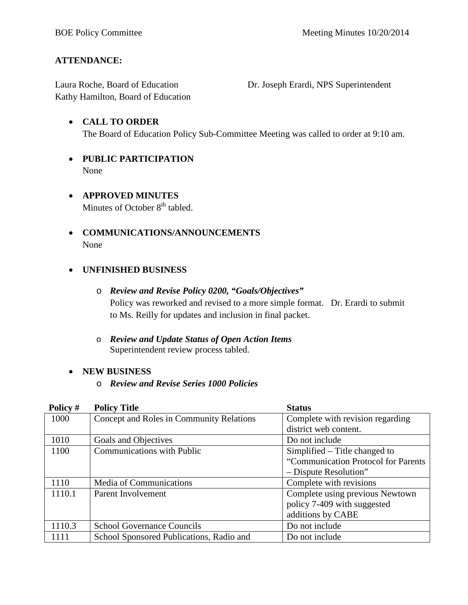## **ATTENDANCE:**

Laura Roche, Board of Education Dr. Joseph Erardi, NPS Superintendent Kathy Hamilton, Board of Education

- **CALL TO ORDER** The Board of Education Policy Sub-Committee Meeting was called to order at 9:10 am.
- **PUBLIC PARTICIPATION** None
- **APPROVED MINUTES** Minutes of October  $8<sup>th</sup>$  tabled.
- **COMMUNICATIONS/ANNOUNCEMENTS** None

## • **UNFINISHED BUSINESS**

- o *Review and Revise Policy 0200, "Goals/Objectives"* Policy was reworked and revised to a more simple format. Dr. Erardi to submit to Ms. Reilly for updates and inclusion in final packet.
- o *Review and Update Status of Open Action Items* Superintendent review process tabled.

## • **NEW BUSINESS**

o *Review and Revise Series 1000 Policies*

| Policy # | <b>Policy Title</b>                      | <b>Status</b>                       |  |
|----------|------------------------------------------|-------------------------------------|--|
| 1000     | Concept and Roles in Community Relations | Complete with revision regarding    |  |
|          |                                          | district web content.               |  |
| 1010     | Goals and Objectives                     | Do not include                      |  |
| 1100     | <b>Communications with Public</b>        | Simplified – Title changed to       |  |
|          |                                          | "Communication Protocol for Parents |  |
|          |                                          | - Dispute Resolution"               |  |
| 1110     | Media of Communications                  | Complete with revisions             |  |
| 1110.1   | Parent Involvement                       | Complete using previous Newtown     |  |
|          |                                          | policy 7-409 with suggested         |  |
|          |                                          | additions by CABE                   |  |
| 1110.3   | <b>School Governance Councils</b>        | Do not include                      |  |
| 1111     | School Sponsored Publications, Radio and | Do not include                      |  |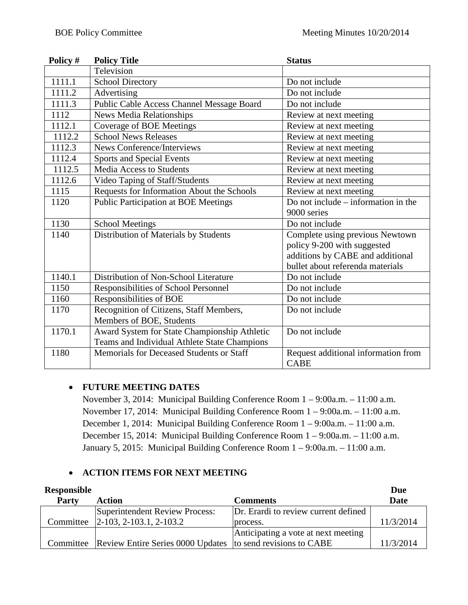| Policy # | <b>Policy Title</b>                          | <b>Status</b>                         |  |
|----------|----------------------------------------------|---------------------------------------|--|
|          | Television                                   |                                       |  |
| 1111.1   | <b>School Directory</b>                      | Do not include                        |  |
| 1111.2   | Advertising                                  | Do not include                        |  |
| 1111.3   | Public Cable Access Channel Message Board    | Do not include                        |  |
| 1112     | <b>News Media Relationships</b>              | Review at next meeting                |  |
| 1112.1   | <b>Coverage of BOE Meetings</b>              | Review at next meeting                |  |
| 1112.2   | <b>School News Releases</b>                  | Review at next meeting                |  |
| 1112.3   | <b>News Conference/Interviews</b>            | Review at next meeting                |  |
| 1112.4   | <b>Sports and Special Events</b>             | Review at next meeting                |  |
| 1112.5   | <b>Media Access to Students</b>              | Review at next meeting                |  |
| 1112.6   | Video Taping of Staff/Students               | Review at next meeting                |  |
| 1115     | Requests for Information About the Schools   | Review at next meeting                |  |
| 1120     | <b>Public Participation at BOE Meetings</b>  | Do not include $-$ information in the |  |
|          |                                              | 9000 series                           |  |
| 1130     | <b>School Meetings</b>                       | Do not include                        |  |
| 1140     | Distribution of Materials by Students        | Complete using previous Newtown       |  |
|          |                                              | policy 9-200 with suggested           |  |
|          |                                              | additions by CABE and additional      |  |
|          |                                              | bullet about referenda materials      |  |
| 1140.1   | Distribution of Non-School Literature        | Do not include                        |  |
| 1150     | Responsibilities of School Personnel         | Do not include                        |  |
| 1160     | Responsibilities of BOE                      | Do not include                        |  |
| 1170     | Recognition of Citizens, Staff Members,      | Do not include                        |  |
|          | Members of BOE, Students                     |                                       |  |
| 1170.1   | Award System for State Championship Athletic | Do not include                        |  |
|          | Teams and Individual Athlete State Champions |                                       |  |
| 1180     | Memorials for Deceased Students or Staff     | Request additional information from   |  |
|          |                                              | <b>CABE</b>                           |  |

## • **FUTURE MEETING DATES**

November 3, 2014: Municipal Building Conference Room 1 – 9:00a.m. – 11:00 a.m. November 17, 2014: Municipal Building Conference Room 1 – 9:00a.m. – 11:00 a.m. December 1, 2014: Municipal Building Conference Room 1 – 9:00a.m. – 11:00 a.m. December 15, 2014: Municipal Building Conference Room 1 – 9:00a.m. – 11:00 a.m. January 5, 2015: Municipal Building Conference Room 1 – 9:00a.m. – 11:00 a.m.

## • **ACTION ITEMS FOR NEXT MEETING**

| <b>Responsible</b> |                                                                       |                                      | Due         |
|--------------------|-----------------------------------------------------------------------|--------------------------------------|-------------|
| Party              | Action                                                                | Comments                             | <b>Date</b> |
|                    | Superintendent Review Process:                                        | Dr. Erardi to review current defined |             |
|                    | Committee 2-103, 2-103.1, 2-103.2                                     | process.                             | 11/3/2014   |
|                    |                                                                       | Anticipating a vote at next meeting  |             |
|                    | Committee Review Entire Series 0000 Updates to send revisions to CABE |                                      | 11/3/2014   |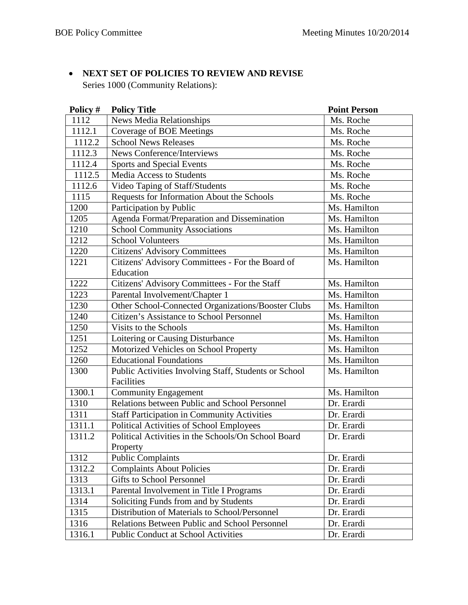## • **NEXT SET OF POLICIES TO REVIEW AND REVISE**

Series 1000 (Community Relations):

| Policy # | <b>Policy Title</b>                                                 | <b>Point Person</b> |
|----------|---------------------------------------------------------------------|---------------------|
| 1112     | News Media Relationships                                            | Ms. Roche           |
| 1112.1   | <b>Coverage of BOE Meetings</b>                                     | Ms. Roche           |
| 1112.2   | <b>School News Releases</b>                                         | Ms. Roche           |
| 1112.3   | News Conference/Interviews                                          | Ms. Roche           |
| 1112.4   | Sports and Special Events                                           | Ms. Roche           |
| 1112.5   | <b>Media Access to Students</b>                                     | Ms. Roche           |
| 1112.6   | Video Taping of Staff/Students                                      | Ms. Roche           |
| 1115     | Requests for Information About the Schools                          | Ms. Roche           |
| 1200     | Participation by Public                                             | Ms. Hamilton        |
| 1205     | Agenda Format/Preparation and Dissemination                         | Ms. Hamilton        |
| 1210     | <b>School Community Associations</b>                                | Ms. Hamilton        |
| 1212     | <b>School Volunteers</b>                                            | Ms. Hamilton        |
| 1220     | <b>Citizens' Advisory Committees</b>                                | Ms. Hamilton        |
| 1221     | Citizens' Advisory Committees - For the Board of                    | Ms. Hamilton        |
|          | Education                                                           |                     |
| 1222     | Citizens' Advisory Committees - For the Staff                       | Ms. Hamilton        |
| 1223     | Parental Involvement/Chapter 1                                      | Ms. Hamilton        |
| 1230     | Other School-Connected Organizations/Booster Clubs                  | Ms. Hamilton        |
| 1240     | Citizen's Assistance to School Personnel                            | Ms. Hamilton        |
| 1250     | Visits to the Schools                                               | Ms. Hamilton        |
| 1251     | Loitering or Causing Disturbance                                    | Ms. Hamilton        |
| 1252     | Motorized Vehicles on School Property                               | Ms. Hamilton        |
| 1260     | <b>Educational Foundations</b>                                      | Ms. Hamilton        |
| 1300     | Public Activities Involving Staff, Students or School<br>Facilities | Ms. Hamilton        |
| 1300.1   | <b>Community Engagement</b>                                         | Ms. Hamilton        |
| 1310     | Relations between Public and School Personnel                       | Dr. Erardi          |
| 1311     | <b>Staff Participation in Community Activities</b>                  | Dr. Erardi          |
| 1311.1   | Political Activities of School Employees                            | Dr. Erardi          |
| 1311.2   | Political Activities in the Schools/On School Board                 | Dr. Erardi          |
|          | Property                                                            |                     |
| 1312     | <b>Public Complaints</b>                                            | Dr. Erardi          |
| 1312.2   | <b>Complaints About Policies</b>                                    | Dr. Erardi          |
| 1313     | <b>Gifts to School Personnel</b>                                    | Dr. Erardi          |
| 1313.1   | Parental Involvement in Title I Programs                            | Dr. Erardi          |
| 1314     | Soliciting Funds from and by Students                               | Dr. Erardi          |
| 1315     | Distribution of Materials to School/Personnel                       | Dr. Erardi          |
| 1316     | Relations Between Public and School Personnel                       | Dr. Erardi          |
| 1316.1   | <b>Public Conduct at School Activities</b>                          | Dr. Erardi          |